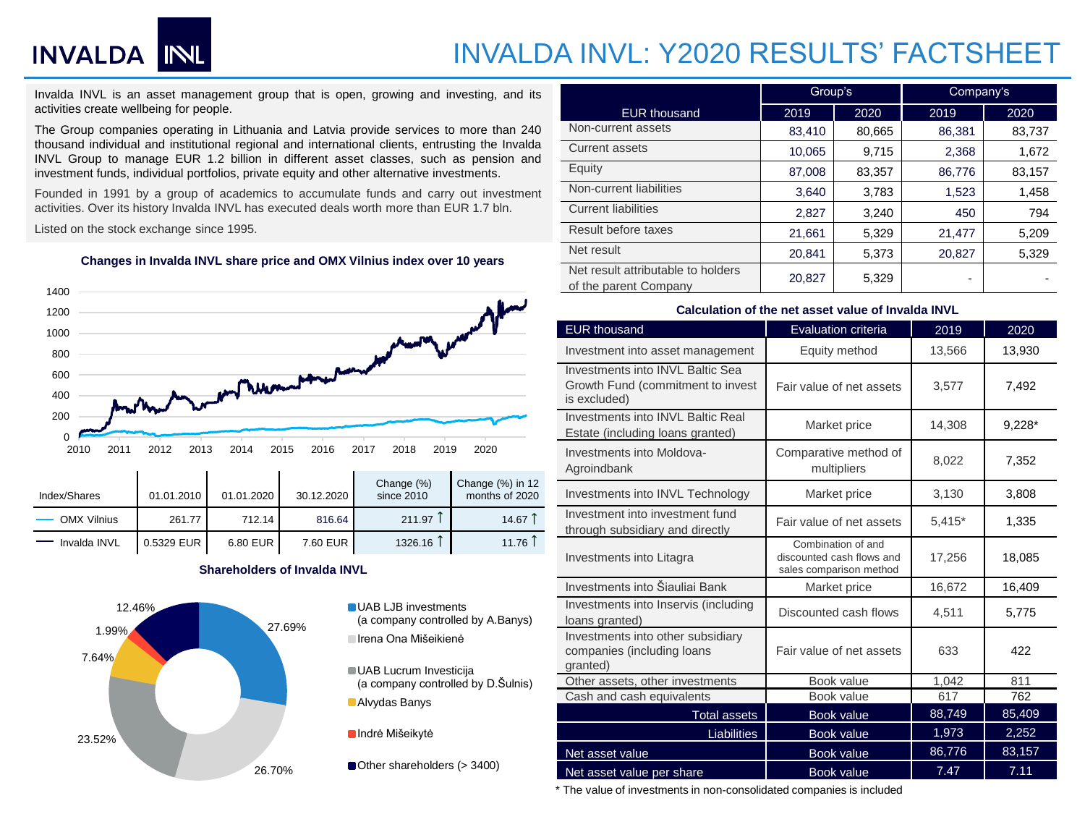# **INVALDA INL**

# INVALDA INVL: Y2020 RESULTS' FACTSHEET

Invalda INVL is an asset management group that is open, growing and investing, and its activities create wellbeing for people.

The Group companies operating in Lithuania and Latvia provide services to more than 240 thousand individual and institutional regional and international clients, entrusting the Invalda INVL Group to manage EUR 1.2 billion in different asset classes, such as pension and investment funds, individual portfolios, private equity and other alternative investments.

Founded in 1991 by a group of academics to accumulate funds and carry out investment activities. Over its history Invalda INVL has executed deals worth more than EUR 1.7 bln.

Listed on the stock exchange since 1995.

#### **Changes in Invalda INVL share price and OMX Vilnius index over 10 years**



| OMX Vilnius  | 261.77       | 712.14   | 816.64   | 211.97  | 14.67 |
|--------------|--------------|----------|----------|---------|-------|
| Invalda INVL | $0.5329$ EUR | 6.80 EUR | 7.60 EUR | 1326.16 | 11.76 |

## **Shareholders of Invalda INVL**



- (a company controlled by A.Banys) Irena Ona Mišeikienė
- UAB Lucrum Investicija (a company controlled by D.Šulnis) Alvydas Banys

**Indrė Mišeikytė** 

Other shareholders (> 3400)

|                                                             | Group's |        | Company's |        |  |  |
|-------------------------------------------------------------|---------|--------|-----------|--------|--|--|
| <b>EUR thousand</b>                                         | 2019    | 2020   | 2019      | 2020   |  |  |
| Non-current assets                                          | 83,410  | 80,665 | 86,381    | 83,737 |  |  |
| Current assets                                              | 10,065  | 9,715  | 2,368     | 1,672  |  |  |
| Equity                                                      | 87,008  | 83,357 | 86,776    | 83,157 |  |  |
| Non-current liabilities                                     | 3,640   | 3,783  | 1,523     | 1,458  |  |  |
| <b>Current liabilities</b>                                  | 2,827   | 3,240  | 450       | 794    |  |  |
| Result before taxes                                         | 21,661  | 5,329  | 21,477    | 5,209  |  |  |
| Net result                                                  | 20,841  | 5,373  | 20,827    | 5,329  |  |  |
| Net result attributable to holders<br>of the parent Company | 20.827  | 5,329  | ۰         |        |  |  |

### **Calculation of the net asset value of Invalda INVL**

| <b>EUR thousand</b>                                                                   | <b>Evaluation criteria</b>                                                 | 2019     | 2020     |  |
|---------------------------------------------------------------------------------------|----------------------------------------------------------------------------|----------|----------|--|
| Investment into asset management                                                      | Equity method                                                              | 13,566   | 13,930   |  |
| Investments into INVL Baltic Sea<br>Growth Fund (commitment to invest<br>is excluded) | Fair value of net assets                                                   | 3,577    | 7.492    |  |
| Investments into INVL Baltic Real<br>Estate (including loans granted)                 | Market price                                                               | 14,308   | $9,228*$ |  |
| Investments into Moldova-<br>Agroindbank                                              | Comparative method of<br>multipliers                                       | 8,022    | 7,352    |  |
| Investments into INVL Technology                                                      | Market price                                                               | 3,130    | 3.808    |  |
| Investment into investment fund<br>through subsidiary and directly                    | Fair value of net assets                                                   | $5,415*$ | 1,335    |  |
| Investments into Litagra                                                              | Combination of and<br>discounted cash flows and<br>sales comparison method | 17,256   | 18,085   |  |
| Investments into Šiauliai Bank                                                        | Market price                                                               | 16,672   | 16,409   |  |
| Investments into Inservis (including<br>loans granted)                                | Discounted cash flows                                                      | 4,511    | 5,775    |  |
| Investments into other subsidiary<br>companies (including loans<br>granted)           | Fair value of net assets                                                   | 633      | 422      |  |
| Other assets, other investments                                                       | Book value                                                                 | 1,042    | 811      |  |
| Cash and cash equivalents                                                             | Book value                                                                 | 617      | 762      |  |
| <b>Total assets</b>                                                                   | <b>Book value</b>                                                          | 88,749   | 85,409   |  |
| <b>Liabilities</b>                                                                    | Book value                                                                 | 1,973    | 2,252    |  |
| Net asset value                                                                       | Book value                                                                 | 86,776   | 83,157   |  |
| Net asset value per share                                                             | Book value                                                                 | 7.47     | 7.11     |  |

\* The value of investments in non-consolidated companies is included